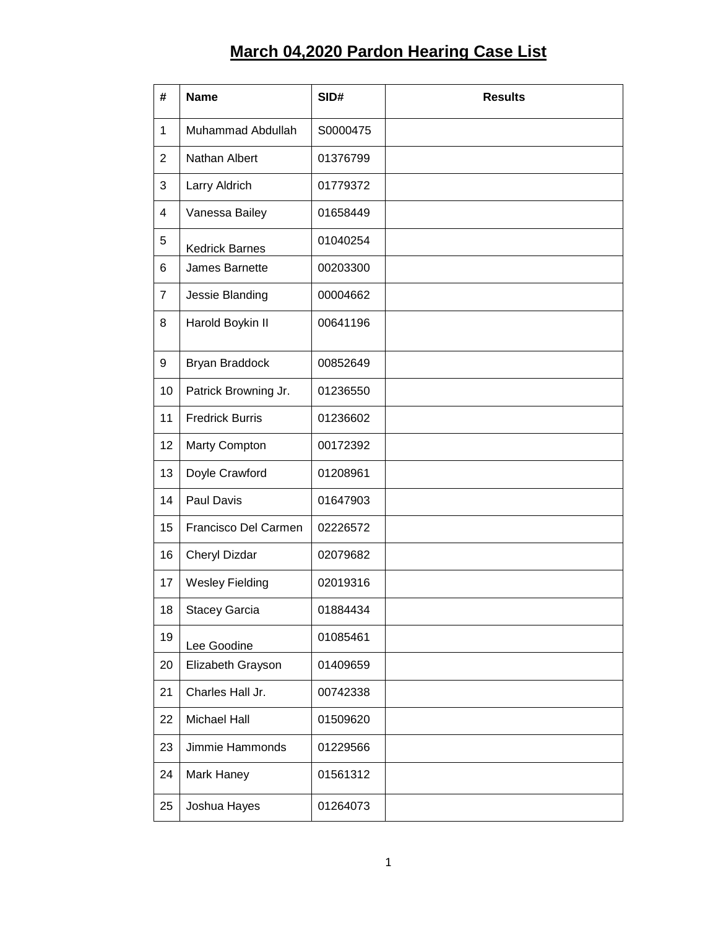## **March 04,2020 Pardon Hearing Case List**

| #              | <b>Name</b>            | SID#     | <b>Results</b> |
|----------------|------------------------|----------|----------------|
| $\mathbf{1}$   | Muhammad Abdullah      | S0000475 |                |
| $\overline{2}$ | Nathan Albert          | 01376799 |                |
| 3              | Larry Aldrich          | 01779372 |                |
| 4              | Vanessa Bailey         | 01658449 |                |
| 5              | <b>Kedrick Barnes</b>  | 01040254 |                |
| 6              | James Barnette         | 00203300 |                |
| $\overline{7}$ | Jessie Blanding        | 00004662 |                |
| 8              | Harold Boykin II       | 00641196 |                |
| 9              | Bryan Braddock         | 00852649 |                |
| 10             | Patrick Browning Jr.   | 01236550 |                |
| 11             | <b>Fredrick Burris</b> | 01236602 |                |
| 12             | Marty Compton          | 00172392 |                |
| 13             | Doyle Crawford         | 01208961 |                |
| 14             | Paul Davis             | 01647903 |                |
| 15             | Francisco Del Carmen   | 02226572 |                |
| 16             | Cheryl Dizdar          | 02079682 |                |
| 17             | <b>Wesley Fielding</b> | 02019316 |                |
| 18             | Stacey Garcia          | 01884434 |                |
| 19             | Lee Goodine            | 01085461 |                |
| 20             | Elizabeth Grayson      | 01409659 |                |
| 21             | Charles Hall Jr.       | 00742338 |                |
| 22             | Michael Hall           | 01509620 |                |
| 23             | Jimmie Hammonds        | 01229566 |                |
| 24             | Mark Haney             | 01561312 |                |
| 25             | Joshua Hayes           | 01264073 |                |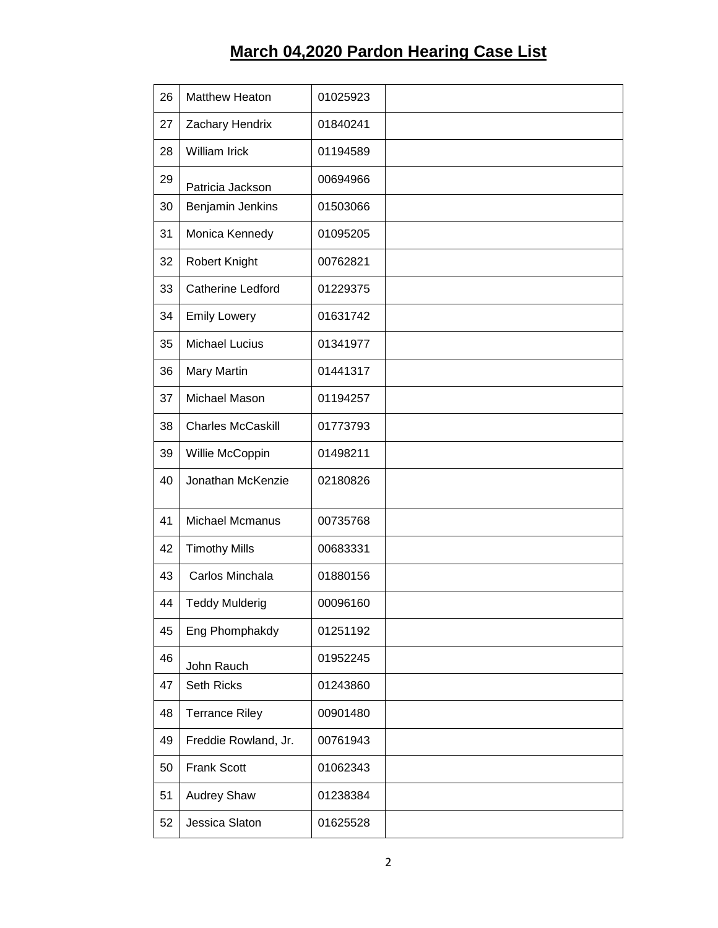## **March 04,2020 Pardon Hearing Case List**

| 26 | <b>Matthew Heaton</b>    | 01025923 |  |
|----|--------------------------|----------|--|
| 27 | Zachary Hendrix          | 01840241 |  |
| 28 | William Irick            | 01194589 |  |
| 29 | Patricia Jackson         | 00694966 |  |
| 30 | Benjamin Jenkins         | 01503066 |  |
| 31 | Monica Kennedy           | 01095205 |  |
| 32 | Robert Knight            | 00762821 |  |
| 33 | <b>Catherine Ledford</b> | 01229375 |  |
| 34 | <b>Emily Lowery</b>      | 01631742 |  |
| 35 | <b>Michael Lucius</b>    | 01341977 |  |
| 36 | Mary Martin              | 01441317 |  |
| 37 | Michael Mason            | 01194257 |  |
| 38 | <b>Charles McCaskill</b> | 01773793 |  |
| 39 | Willie McCoppin          | 01498211 |  |
| 40 | Jonathan McKenzie        | 02180826 |  |
| 41 | Michael Mcmanus          | 00735768 |  |
| 42 | <b>Timothy Mills</b>     | 00683331 |  |
| 43 | Carlos Minchala          | 01880156 |  |
| 44 | <b>Teddy Mulderig</b>    | 00096160 |  |
| 45 | Eng Phomphakdy           | 01251192 |  |
| 46 | John Rauch               | 01952245 |  |
| 47 | Seth Ricks               | 01243860 |  |
| 48 | <b>Terrance Riley</b>    | 00901480 |  |
| 49 | Freddie Rowland, Jr.     | 00761943 |  |
| 50 | <b>Frank Scott</b>       | 01062343 |  |
| 51 | <b>Audrey Shaw</b>       | 01238384 |  |
| 52 | Jessica Slaton           | 01625528 |  |